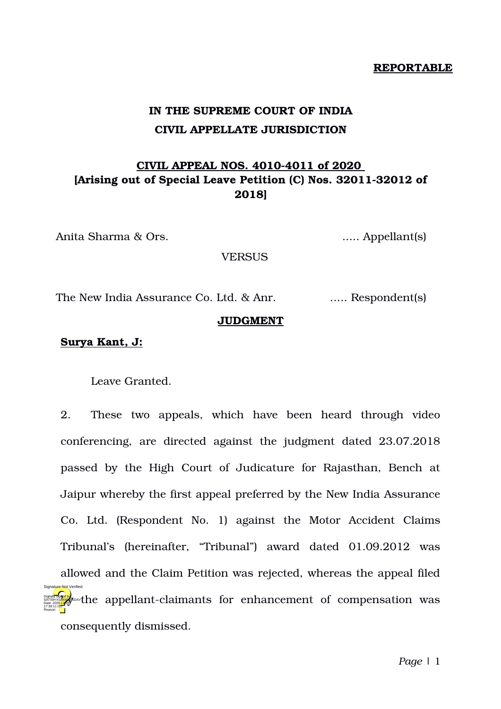#### **REPORTABLE**

# **IN THE SUPREME COURT OF INDIA CIVIL APPELLATE JURISDICTION**

# **CIVIL APPEAL NOS. 40104011 of 2020 [Arising out of Special Leave Petition (C) Nos. 32011-32012 of 2018]**

Anita Sharma & Ors. ...... Appellant(s)

**VERSUS** 

The New India Assurance Co. Ltd. & Anr. ..... Respondent(s)

### **JUDGMENT**

## **Surya Kant, J:**

Leave Granted.

2. These two appeals, which have been heard through video conferencing, are directed against the judgment dated 23.07.2018 passed by the High Court of Judicature for Rajasthan, Bench at Jaipur whereby the first appeal preferred by the New India Assurance Co. Ltd. (Respondent No. 1) against the Motor Accident Claims Tribunal's (hereinafter, "Tribunal") award dated 01.09.2012 was allowed and the Claim Petition was rejected, whereas the appeal filed **Digitally signed by Equal Area (Digital Area View)** the appellant-claimants for enhancement of compensation was consequently dismissed. 17:39:11 IST Reason: Signature Not Verified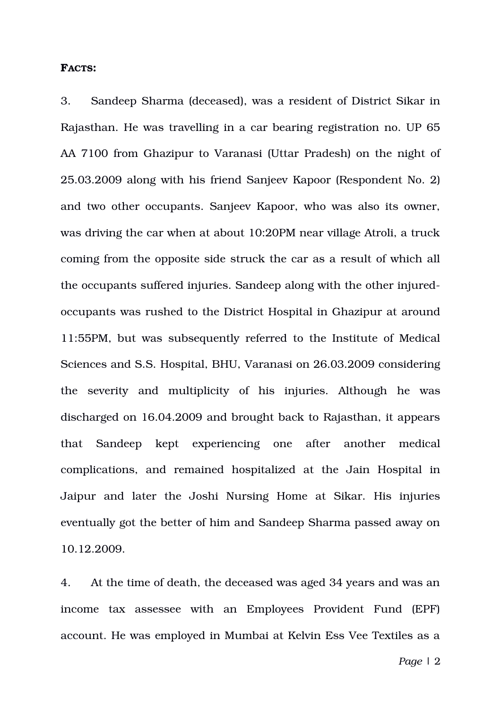#### **FACTS:**

3. Sandeep Sharma (deceased), was a resident of District Sikar in Rajasthan. He was travelling in a car bearing registration no. UP 65 AA 7100 from Ghazipur to Varanasi (Uttar Pradesh) on the night of 25.03.2009 along with his friend Sanjeev Kapoor (Respondent No. 2) and two other occupants. Sanjeev Kapoor, who was also its owner, was driving the car when at about 10:20PM near village Atroli, a truck coming from the opposite side struck the car as a result of which all the occupants suffered injuries. Sandeep along with the other injuredoccupants was rushed to the District Hospital in Ghazipur at around 11:55PM, but was subsequently referred to the Institute of Medical Sciences and S.S. Hospital, BHU, Varanasi on 26.03.2009 considering the severity and multiplicity of his injuries. Although he was discharged on 16.04.2009 and brought back to Rajasthan, it appears that Sandeep kept experiencing one after another medical complications, and remained hospitalized at the Jain Hospital in Jaipur and later the Joshi Nursing Home at Sikar. His injuries eventually got the better of him and Sandeep Sharma passed away on 10.12.2009.

4. At the time of death, the deceased was aged 34 years and was an income tax assessee with an Employees Provident Fund (EPF) account. He was employed in Mumbai at Kelvin Ess Vee Textiles as a

*Page* | 2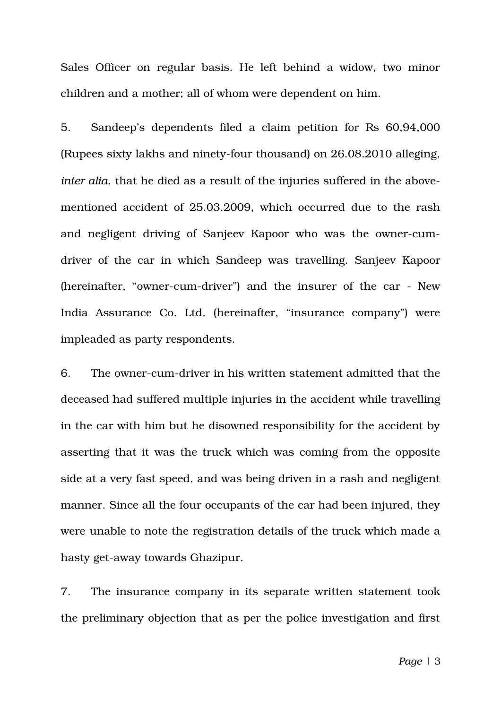Sales Officer on regular basis. He left behind a widow, two minor children and a mother; all of whom were dependent on him.

5. Sandeep's dependents filed a claim petition for Rs 60,94,000 (Rupees sixty lakhs and ninety-four thousand) on 26.08.2010 alleging, *inter alia*, that he died as a result of the injuries suffered in the abovementioned accident of 25.03.2009, which occurred due to the rash and negligent driving of Sanjeev Kapoor who was the owner-cumdriver of the car in which Sandeep was travelling. Sanjeev Kapoor (hereinafter, "owner-cum-driver") and the insurer of the car - New India Assurance Co. Ltd. (hereinafter, "insurance company") were impleaded as party respondents.

6. The owner-cum-driver in his written statement admitted that the deceased had suffered multiple injuries in the accident while travelling in the car with him but he disowned responsibility for the accident by asserting that it was the truck which was coming from the opposite side at a very fast speed, and was being driven in a rash and negligent manner. Since all the four occupants of the car had been injured, they were unable to note the registration details of the truck which made a hasty get-away towards Ghazipur.

7. The insurance company in its separate written statement took the preliminary objection that as per the police investigation and first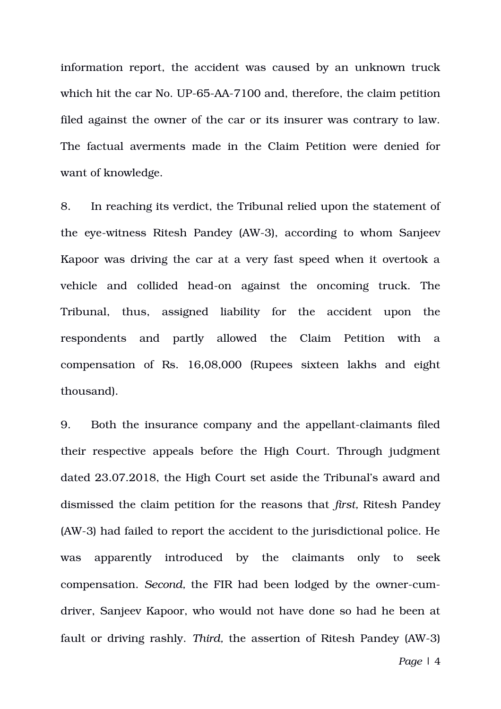information report, the accident was caused by an unknown truck which hit the car No. UP-65-AA-7100 and, therefore, the claim petition filed against the owner of the car or its insurer was contrary to law. The factual averments made in the Claim Petition were denied for want of knowledge.

8. In reaching its verdict, the Tribunal relied upon the statement of the eye-witness Ritesh Pandey (AW-3), according to whom Sanjeev Kapoor was driving the car at a very fast speed when it overtook a vehicle and collided head-on against the oncoming truck. The Tribunal, thus, assigned liability for the accident upon the respondents and partly allowed the Claim Petition with a compensation of Rs. 16,08,000 (Rupees sixteen lakhs and eight thousand).

9. Both the insurance company and the appellant-claimants filed their respective appeals before the High Court. Through judgment dated 23.07.2018, the High Court set aside the Tribunal's award and dismissed the claim petition for the reasons that *first,* Ritesh Pandey (AW3) had failed to report the accident to the jurisdictional police. He was apparently introduced by the claimants only to seek compensation. *Second*, the FIR had been lodged by the owner-cumdriver, Sanjeev Kapoor, who would not have done so had he been at fault or driving rashly. Third, the assertion of Ritesh Pandey (AW-3)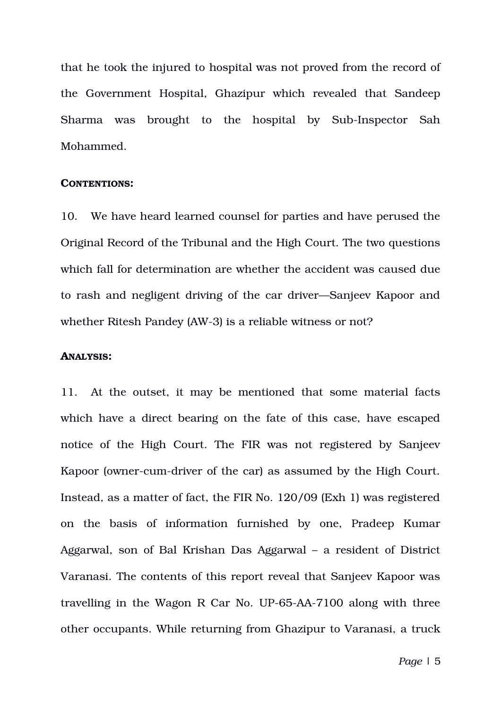that he took the injured to hospital was not proved from the record of the Government Hospital, Ghazipur which revealed that Sandeep Sharma was brought to the hospital by Sub-Inspector Sah Mohammed.

### **CONTENTIONS:**

10. We have heard learned counsel for parties and have perused the Original Record of the Tribunal and the High Court. The two questions which fall for determination are whether the accident was caused due to rash and negligent driving of the car driver—Sanjeev Kapoor and whether Ritesh Pandey (AW-3) is a reliable witness or not?

### **ANALYSIS:**

11. At the outset, it may be mentioned that some material facts which have a direct bearing on the fate of this case, have escaped notice of the High Court. The FIR was not registered by Sanjeev Kapoor (owner-cum-driver of the car) as assumed by the High Court. Instead, as a matter of fact, the FIR No. 120/09 (Exh 1) was registered on the basis of information furnished by one, Pradeep Kumar Aggarwal, son of Bal Krishan Das Aggarwal – a resident of District Varanasi. The contents of this report reveal that Sanjeev Kapoor was travelling in the Wagon R Car No. UP-65-AA-7100 along with three other occupants. While returning from Ghazipur to Varanasi, a truck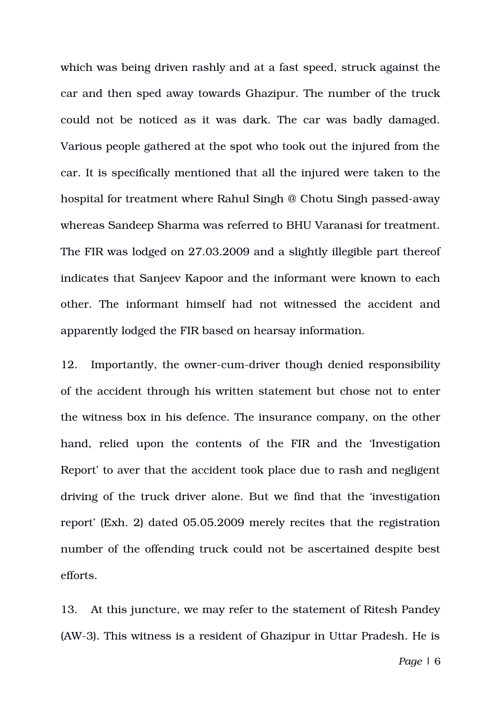which was being driven rashly and at a fast speed, struck against the car and then sped away towards Ghazipur. The number of the truck could not be noticed as it was dark. The car was badly damaged. Various people gathered at the spot who took out the injured from the car. It is specifically mentioned that all the injured were taken to the hospital for treatment where Rahul Singh @ Chotu Singh passed-away whereas Sandeep Sharma was referred to BHU Varanasi for treatment. The FIR was lodged on 27.03.2009 and a slightly illegible part thereof indicates that Sanjeev Kapoor and the informant were known to each other. The informant himself had not witnessed the accident and apparently lodged the FIR based on hearsay information.

12. Importantly, the owner-cum-driver though denied responsibility of the accident through his written statement but chose not to enter the witness box in his defence. The insurance company, on the other hand, relied upon the contents of the FIR and the 'Investigation Report' to aver that the accident took place due to rash and negligent driving of the truck driver alone. But we find that the 'investigation report' (Exh. 2) dated 05.05.2009 merely recites that the registration number of the offending truck could not be ascertained despite best efforts.

13. At this juncture, we may refer to the statement of Ritesh Pandey (AW3). This witness is a resident of Ghazipur in Uttar Pradesh. He is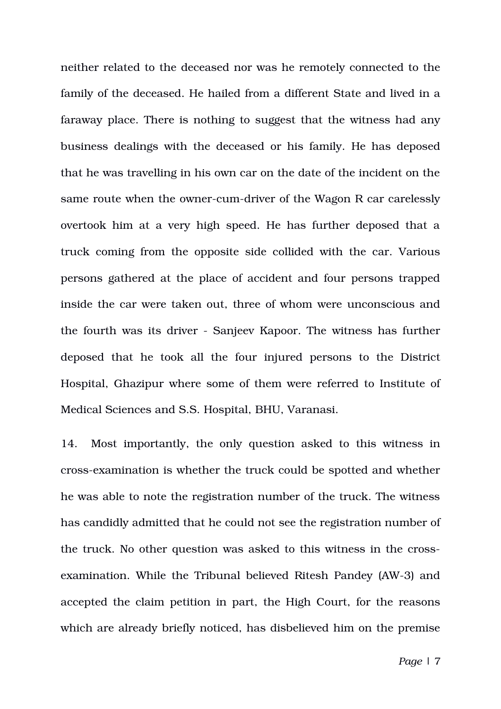neither related to the deceased nor was he remotely connected to the family of the deceased. He hailed from a different State and lived in a faraway place. There is nothing to suggest that the witness had any business dealings with the deceased or his family. He has deposed that he was travelling in his own car on the date of the incident on the same route when the owner-cum-driver of the Wagon R car carelessly overtook him at a very high speed. He has further deposed that a truck coming from the opposite side collided with the car. Various persons gathered at the place of accident and four persons trapped inside the car were taken out, three of whom were unconscious and the fourth was its driver Sanjeev Kapoor. The witness has further deposed that he took all the four injured persons to the District Hospital, Ghazipur where some of them were referred to Institute of Medical Sciences and S.S. Hospital, BHU, Varanasi.

14. Most importantly, the only question asked to this witness in crossexamination is whether the truck could be spotted and whether he was able to note the registration number of the truck. The witness has candidly admitted that he could not see the registration number of the truck. No other question was asked to this witness in the crossexamination. While the Tribunal believed Ritesh Pandey (AW-3) and accepted the claim petition in part, the High Court, for the reasons which are already briefly noticed, has disbelieved him on the premise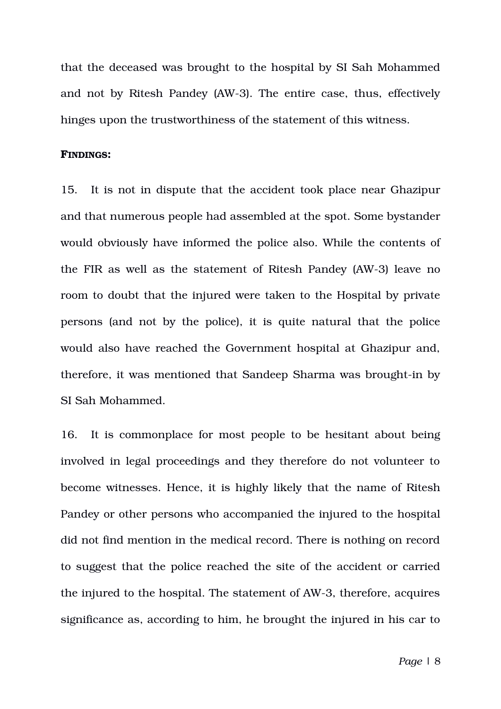that the deceased was brought to the hospital by SI Sah Mohammed and not by Ritesh Pandey (AW-3). The entire case, thus, effectively hinges upon the trustworthiness of the statement of this witness.

### **FINDINGS:**

15. It is not in dispute that the accident took place near Ghazipur and that numerous people had assembled at the spot. Some bystander would obviously have informed the police also. While the contents of the FIR as well as the statement of Ritesh Pandey (AW-3) leave no room to doubt that the injured were taken to the Hospital by private persons (and not by the police), it is quite natural that the police would also have reached the Government hospital at Ghazipur and, therefore, it was mentioned that Sandeep Sharma was brought-in by SI Sah Mohammed.

16. It is commonplace for most people to be hesitant about being involved in legal proceedings and they therefore do not volunteer to become witnesses. Hence, it is highly likely that the name of Ritesh Pandey or other persons who accompanied the injured to the hospital did not find mention in the medical record. There is nothing on record to suggest that the police reached the site of the accident or carried the injured to the hospital. The statement of AW-3, therefore, acquires significance as, according to him, he brought the injured in his car to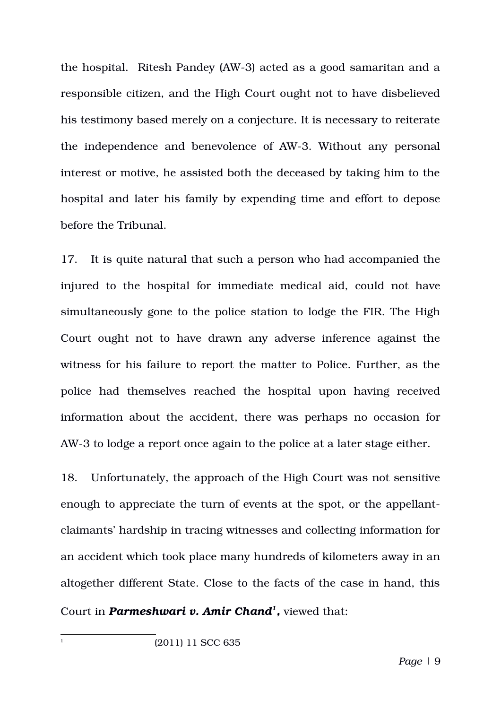the hospital. Ritesh Pandey (AW-3) acted as a good samaritan and a responsible citizen, and the High Court ought not to have disbelieved his testimony based merely on a conjecture. It is necessary to reiterate the independence and benevolence of AW3. Without any personal interest or motive, he assisted both the deceased by taking him to the hospital and later his family by expending time and effort to depose before the Tribunal.

17. It is quite natural that such a person who had accompanied the injured to the hospital for immediate medical aid, could not have simultaneously gone to the police station to lodge the FIR. The High Court ought not to have drawn any adverse inference against the witness for his failure to report the matter to Police. Further, as the police had themselves reached the hospital upon having received information about the accident, there was perhaps no occasion for AW-3 to lodge a report once again to the police at a later stage either.

18. Unfortunately, the approach of the High Court was not sensitive enough to appreciate the turn of events at the spot, or the appellantclaimants' hardship in tracing witnesses and collecting information for an accident which took place many hundreds of kilometers away in an altogether different State. Close to the facts of the case in hand, this Court in *Parmeshwari v. Amir Chand[1](#page-8-0) ,* viewed that:

<span id="page-8-0"></span>1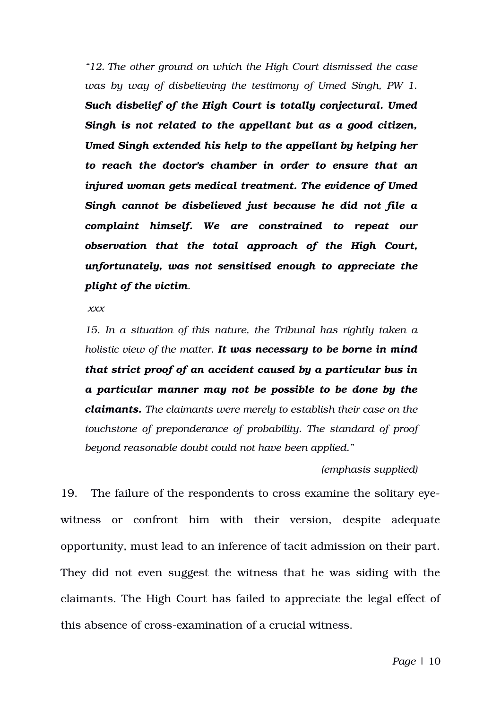*"12. The other ground on which the High Court dismissed the case was by way of disbelieving the testimony of Umed Singh, PW 1. Such disbelief of the High Court is totally conjectural. Umed Singh is not related to the appellant but as a good citizen, Umed Singh extended his help to the appellant by helping her to reach the doctor's chamber in order to ensure that an injured woman gets medical treatment. The evidence of Umed Singh cannot be disbelieved just because he did not file a complaint himself. We are constrained to repeat our observation that the total approach of the High Court, unfortunately, was not sensitised enough to appreciate the plight of the victim.*

 *xxx*

*15. In a situation of this nature, the Tribunal has rightly taken a holistic view of the matter. It was necessary to be borne in mind that strict proof of an accident caused by a particular bus in a particular manner may not be possible to be done by the claimants. The claimants were merely to establish their case on the touchstone of preponderance of probability. The standard of proof beyond reasonable doubt could not have been applied."*

#### *(emphasis supplied)*

19. The failure of the respondents to cross examine the solitary eyewitness or confront him with their version, despite adequate opportunity, must lead to an inference of tacit admission on their part. They did not even suggest the witness that he was siding with the claimants. The High Court has failed to appreciate the legal effect of this absence of cross-examination of a crucial witness.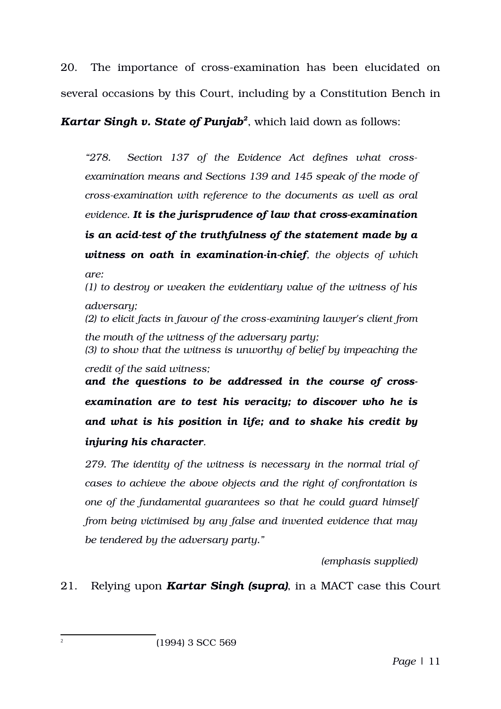20. The importance of cross-examination has been elucidated on several occasions by this Court, including by a Constitution Bench in

*Kartar Singh v. State of Punjab[2](#page-10-0)* , which laid down as follows:

*"278. Section 137 of the Evidence Act defines what crossexamination means and Sections 139 and 145 speak of the mode of crossexamination with reference to the documents as well as oral evidence. It is the jurisprudence of law that crossexamination is an acid-test of the truthfulness of the statement made by a witness on oath in examination-in-chief, the objects of which are: (1) to destroy or weaken the evidentiary value of the witness of his adversary; (2) to elicit facts in favour of the crossexamining lawyer's client from the mouth of the witness of the adversary party; (3) to show that the witness is unworthy of belief by impeaching the credit of the said witness; and the questions to be addressed in the course of crossexamination are to test his veracity; to discover who he is and what is his position in life; and to shake his credit by*

*injuring his character.*

<span id="page-10-0"></span>2

*279. The identity of the witness is necessary in the normal trial of cases to achieve the above objects and the right of confrontation is one of the fundamental guarantees so that he could guard himself from being victimised by any false and invented evidence that may be tendered by the adversary party."*

*(emphasis supplied)*

# 21. Relying upon *Kartar Singh (supra)*, in a MACT case this Court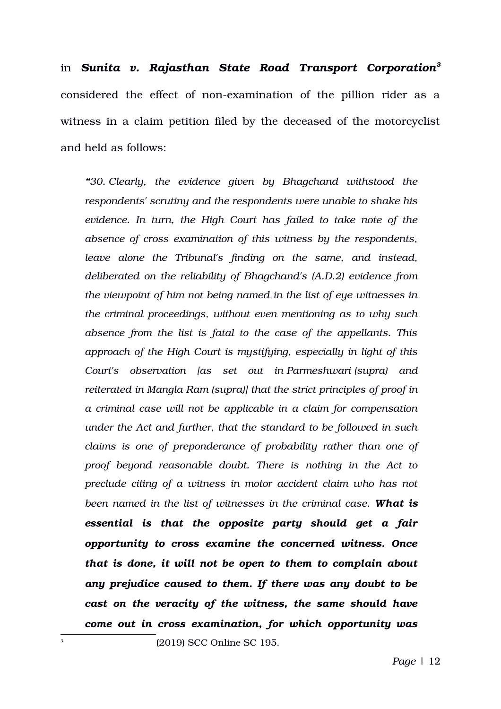in *Sunita v. Rajasthan State Road Transport Corporation[3](#page-11-0)* considered the effect of non-examination of the pillion rider as a witness in a claim petition filed by the deceased of the motorcyclist and held as follows:

*"30. Clearly, the evidence given by Bhagchand withstood the respondents' scrutiny and the respondents were unable to shake his evidence. In turn, the High Court has failed to take note of the absence of cross examination of this witness by the respondents, leave alone the Tribunal's finding on the same, and instead, deliberated on the reliability of Bhagchand's (A.D.2) evidence from the viewpoint of him not being named in the list of eye witnesses in the criminal proceedings, without even mentioning as to why such absence from the list is fatal to the case of the appellants. This approach of the High Court is mystifying, especially in light of this Court's observation [as set out in Parmeshwari (supra) and reiterated in Mangla Ram (supra)] that the strict principles of proof in a criminal case will not be applicable in a claim for compensation under the Act and further, that the standard to be followed in such claims is one of preponderance of probability rather than one of proof beyond reasonable doubt. There is nothing in the Act to preclude citing of a witness in motor accident claim who has not been named in the list of witnesses in the criminal case. What is essential is that the opposite party should get a fair opportunity to cross examine the concerned witness. Once that is done, it will not be open to them to complain about any prejudice caused to them. If there was any doubt to be cast on the veracity of the witness, the same should have come out in cross examination, for which opportunity was*

(2019) SCC Online SC 195.

<span id="page-11-0"></span>3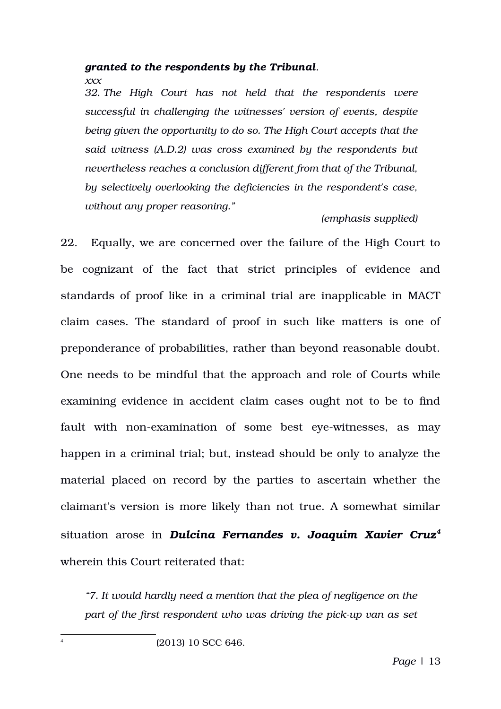## *granted to the respondents by the Tribunal.*

*xxx* 

*32. The High Court has not held that the respondents were successful in challenging the witnesses' version of events, despite being given the opportunity to do so. The High Court accepts that the said witness (A.D.2) was cross examined by the respondents but nevertheless reaches a conclusion different from that of the Tribunal, by selectively overlooking the deficiencies in the respondent's case, without any proper reasoning."*

## *(emphasis supplied)*

22. Equally, we are concerned over the failure of the High Court to be cognizant of the fact that strict principles of evidence and standards of proof like in a criminal trial are inapplicable in MACT claim cases. The standard of proof in such like matters is one of preponderance of probabilities, rather than beyond reasonable doubt. One needs to be mindful that the approach and role of Courts while examining evidence in accident claim cases ought not to be to find fault with non-examination of some best eye-witnesses, as may happen in a criminal trial; but, instead should be only to analyze the material placed on record by the parties to ascertain whether the claimant's version is more likely than not true. A somewhat similar situation arose in *Dulcina Fernandes v. Joaquim Xavier Cruz<sup>[4](#page-12-0)</sup>* wherein this Court reiterated that:

*"7. It would hardly need a mention that the plea of negligence on the part of the first respondent who was driving the pick-up van as set* 

(2013) 10 SCC 646.

<span id="page-12-0"></span>4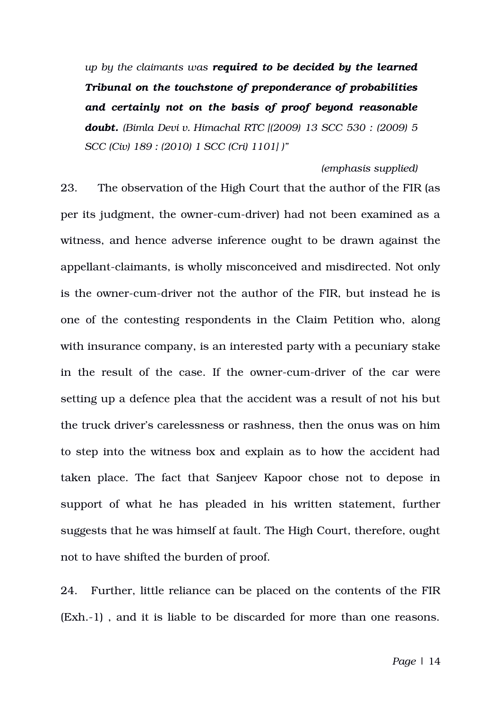*up by the claimants was required to be decided by the learned Tribunal on the touchstone of preponderance of probabilities and certainly not on the basis of proof beyond reasonable doubt. (Bimla Devi v. Himachal RTC [(2009) 13 SCC 530 : (2009) 5 SCC (Civ) 189 : (2010) 1 SCC (Cri) 1101] )"*

#### *(emphasis supplied)*

23. The observation of the High Court that the author of the FIR (as per its judgment, the owner-cum-driver) had not been examined as a witness, and hence adverse inference ought to be drawn against the appellant-claimants, is wholly misconceived and misdirected. Not only is the owner-cum-driver not the author of the FIR, but instead he is one of the contesting respondents in the Claim Petition who, along with insurance company, is an interested party with a pecuniary stake in the result of the case. If the owner-cum-driver of the car were setting up a defence plea that the accident was a result of not his but the truck driver's carelessness or rashness, then the onus was on him to step into the witness box and explain as to how the accident had taken place. The fact that Sanjeev Kapoor chose not to depose in support of what he has pleaded in his written statement, further suggests that he was himself at fault. The High Court, therefore, ought not to have shifted the burden of proof.

24. Further, little reliance can be placed on the contents of the FIR (Exh.1) , and it is liable to be discarded for more than one reasons.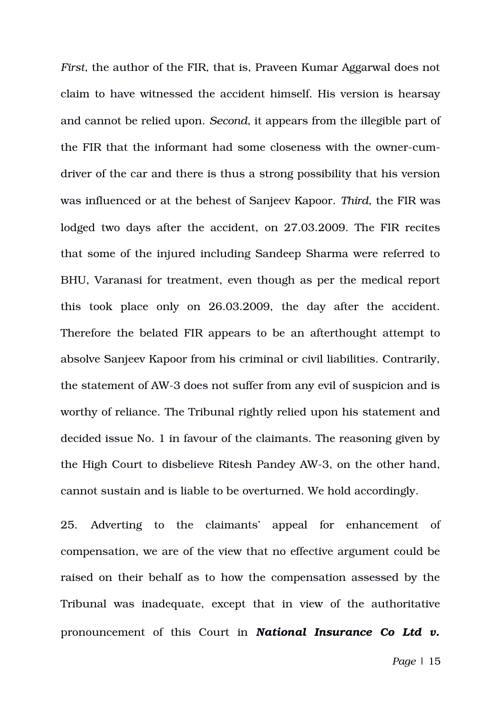*First*, the author of the FIR, that is, Praveen Kumar Aggarwal does not claim to have witnessed the accident himself. His version is hearsay and cannot be relied upon. *Second*, it appears from the illegible part of the FIR that the informant had some closeness with the owner-cumdriver of the car and there is thus a strong possibility that his version was influenced or at the behest of Sanjeev Kapoor. *Third*, the FIR was lodged two days after the accident, on 27.03.2009. The FIR recites that some of the injured including Sandeep Sharma were referred to BHU, Varanasi for treatment, even though as per the medical report this took place only on 26.03.2009, the day after the accident. Therefore the belated FIR appears to be an afterthought attempt to absolve Sanjeev Kapoor from his criminal or civil liabilities. Contrarily, the statement of AW-3 does not suffer from any evil of suspicion and is worthy of reliance. The Tribunal rightly relied upon his statement and decided issue No. 1 in favour of the claimants. The reasoning given by the High Court to disbelieve Ritesh Pandey AW-3, on the other hand, cannot sustain and is liable to be overturned. We hold accordingly.

25. Adverting to the claimants' appeal for enhancement of compensation, we are of the view that no effective argument could be raised on their behalf as to how the compensation assessed by the Tribunal was inadequate, except that in view of the authoritative pronouncement of this Court in *National Insurance Co Ltd v.*